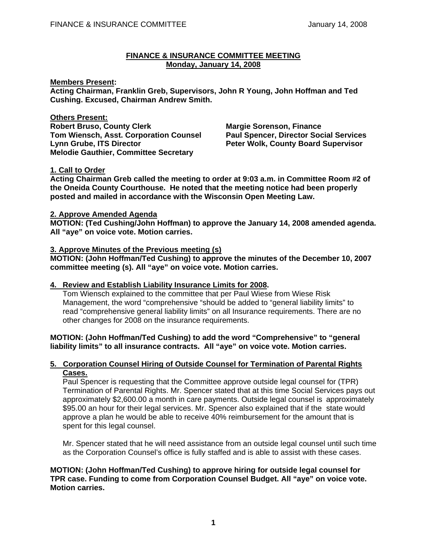#### **FINANCE & INSURANCE COMMITTEE MEETING Monday, January 14, 2008**

#### **Members Present:**

**Acting Chairman, Franklin Greb, Supervisors, John R Young, John Hoffman and Ted Cushing. Excused, Chairman Andrew Smith.** 

**Others Present:**

**Robert Bruso, County Clerk Margie Sorenson, Finance Tom Wiensch, Asst. Corporation Counsel Paul Spencer, Director Social Services Lynn Grube, ITS Director**  The Peter Wolk, County Board Supervisor **Melodie Gauthier, Committee Secretary** 

# **1. Call to Order**

**Acting Chairman Greb called the meeting to order at 9:03 a.m. in Committee Room #2 of the Oneida County Courthouse. He noted that the meeting notice had been properly posted and mailed in accordance with the Wisconsin Open Meeting Law.** 

#### **2. Approve Amended Agenda**

**MOTION: (Ted Cushing/John Hoffman) to approve the January 14, 2008 amended agenda. All "aye" on voice vote. Motion carries.** 

## **3. Approve Minutes of the Previous meeting (s)**

**MOTION: (John Hoffman/Ted Cushing) to approve the minutes of the December 10, 2007 committee meeting (s). All "aye" on voice vote. Motion carries.** 

# **4. Review and Establish Liability Insurance Limits for 2008.**

 Tom Wiensch explained to the committee that per Paul Wiese from Wiese Risk Management, the word "comprehensive "should be added to "general liability limits" to read "comprehensive general liability limits" on all Insurance requirements. There are no other changes for 2008 on the insurance requirements.

#### **MOTION: (John Hoffman/Ted Cushing) to add the word "Comprehensive" to "general liability limits" to all insurance contracts. All "aye" on voice vote. Motion carries.**

#### **5. Corporation Counsel Hiring of Outside Counsel for Termination of Parental Rights Cases.**

 Paul Spencer is requesting that the Committee approve outside legal counsel for (TPR) Termination of Parental Rights. Mr. Spencer stated that at this time Social Services pays out approximately \$2,600.00 a month in care payments. Outside legal counsel is approximately \$95.00 an hour for their legal services. Mr. Spencer also explained that if the state would approve a plan he would be able to receive 40% reimbursement for the amount that is spent for this legal counsel.

 Mr. Spencer stated that he will need assistance from an outside legal counsel until such time as the Corporation Counsel's office is fully staffed and is able to assist with these cases.

## **MOTION: (John Hoffman/Ted Cushing) to approve hiring for outside legal counsel for TPR case. Funding to come from Corporation Counsel Budget. All "aye" on voice vote. Motion carries.**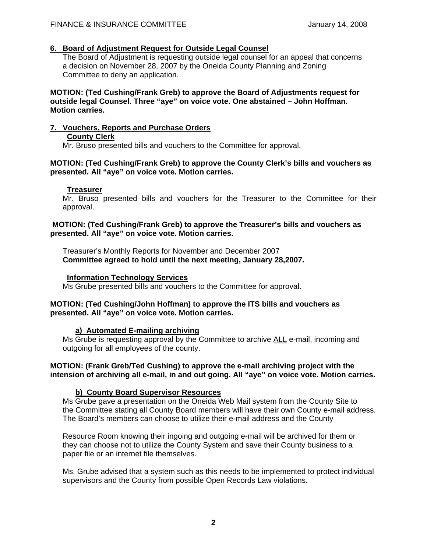#### **6. Board of Adjustment Request for Outside Legal Counsel**

The Board of Adjustment is requesting outside legal counsel for an appeal that concerns a decision on November 28, 2007 by the Oneida County Planning and Zoning Committee to deny an application.

**MOTION: (Ted Cushing/Frank Greb) to approve the Board of Adjustments request for outside legal Counsel. Three "aye" on voice vote. One abstained – John Hoffman. Motion carries.** 

#### **7. Vouchers, Reports and Purchase Orders**

## **County Clerk**

Mr. Bruso presented bills and vouchers to the Committee for approval.

## **MOTION: (Ted Cushing/Frank Greb) to approve the County Clerk's bills and vouchers as presented. All "aye" on voice vote. Motion carries.**

## **Treasurer**

 Mr. Bruso presented bills and vouchers for the Treasurer to the Committee for their approval.

## **MOTION: (Ted Cushing/Frank Greb) to approve the Treasurer's bills and vouchers as presented. All "aye" on voice vote. Motion carries.**

 Treasurer's Monthly Reports for November and December 2007  **Committee agreed to hold until the next meeting, January 28,2007.** 

## **Information Technology Services**

Ms Grube presented bills and vouchers to the Committee for approval.

## **MOTION: (Ted Cushing/John Hoffman) to approve the ITS bills and vouchers as presented. All "aye" on voice vote. Motion carries.**

# **a) Automated E-mailing archiving**

 Ms Grube is requesting approval by the Committee to archive ALL e-mail, incoming and outgoing for all employees of the county.

## **MOTION: (Frank Greb/Ted Cushing) to approve the e-mail archiving project with the intension of archiving all e-mail, in and out going. All "aye" on voice vote. Motion carries.**

# **b) County Board Supervisor Resources**

 Ms Grube gave a presentation on the Oneida Web Mail system from the County Site to the Committee stating all County Board members will have their own County e-mail address. The Board's members can choose to utilize their e-mail address and the County

 Resource Room knowing their ingoing and outgoing e-mail will be archived for them or they can choose not to utilize the County System and save their County business to a paper file or an internet file themselves.

 Ms. Grube advised that a system such as this needs to be implemented to protect individual supervisors and the County from possible Open Records Law violations.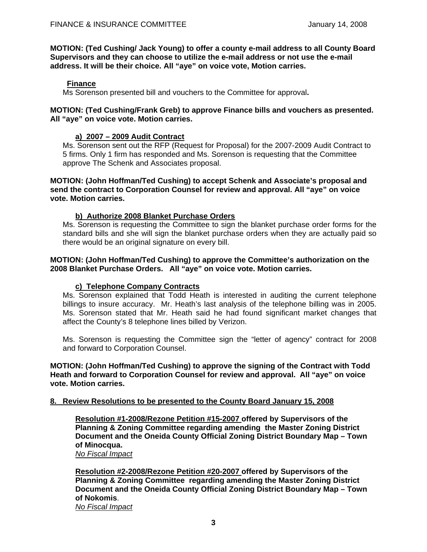**MOTION: (Ted Cushing/ Jack Young) to offer a county e-mail address to all County Board Supervisors and they can choose to utilize the e-mail address or not use the e-mail address. It will be their choice. All "aye" on voice vote, Motion carries.**

# **Finance**

Ms Sorenson presented bill and vouchers to the Committee for approval**.** 

## **MOTION: (Ted Cushing/Frank Greb) to approve Finance bills and vouchers as presented. All "aye" on voice vote. Motion carries.**

# **a) 2007 – 2009 Audit Contract**

 Ms. Sorenson sent out the RFP (Request for Proposal) for the 2007-2009 Audit Contract to 5 firms. Only 1 firm has responded and Ms. Sorenson is requesting that the Committee approve The Schenk and Associates proposal.

**MOTION: (John Hoffman/Ted Cushing) to accept Schenk and Associate's proposal and send the contract to Corporation Counsel for review and approval. All "aye" on voice vote. Motion carries.** 

# **b) Authorize 2008 Blanket Purchase Orders**

 Ms. Sorenson is requesting the Committee to sign the blanket purchase order forms for the standard bills and she will sign the blanket purchase orders when they are actually paid so there would be an original signature on every bill.

## **MOTION: (John Hoffman/Ted Cushing) to approve the Committee's authorization on the 2008 Blanket Purchase Orders. All "aye" on voice vote. Motion carries.**

# **c) Telephone Company Contracts**

 Ms. Sorenson explained that Todd Heath is interested in auditing the current telephone billings to insure accuracy. Mr. Heath's last analysis of the telephone billing was in 2005. Ms. Sorenson stated that Mr. Heath said he had found significant market changes that affect the County's 8 telephone lines billed by Verizon.

 Ms. Sorenson is requesting the Committee sign the "letter of agency" contract for 2008 and forward to Corporation Counsel.

**MOTION: (John Hoffman/Ted Cushing) to approve the signing of the Contract with Todd Heath and forward to Corporation Counsel for review and approval. All "aye" on voice vote. Motion carries.** 

# **8. Review Resolutions to be presented to the County Board January 15, 2008**

**Resolution #1-2008/Rezone Petition #15-2007 offered by Supervisors of the Planning & Zoning Committee regarding amending the Master Zoning District Document and the Oneida County Official Zoning District Boundary Map – Town of Minocqua.** 

*No Fiscal Impact*

**Resolution #2-2008/Rezone Petition #20-2007 offered by Supervisors of the Planning & Zoning Committee regarding amending the Master Zoning District Document and the Oneida County Official Zoning District Boundary Map – Town of Nokomis**. *No Fiscal Impact*